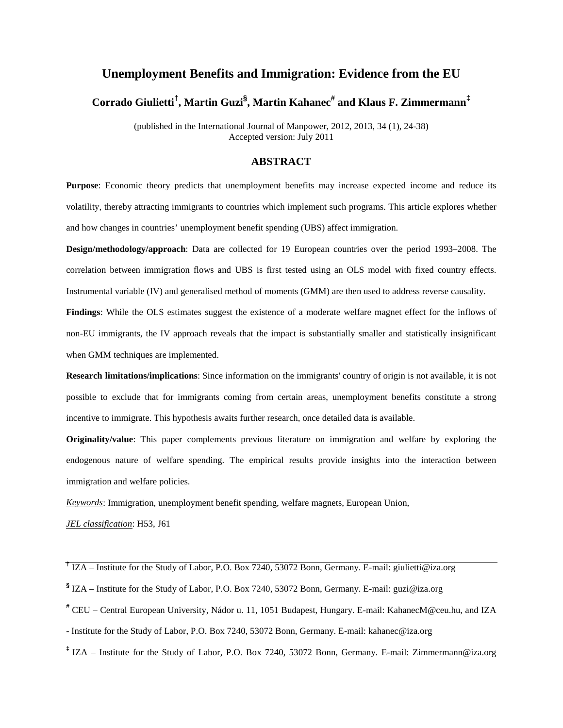# **Unemployment Benefits and Immigration: Evidence from the EU Corrado Giulietti† , Martin Guzi§ , Martin Kahanec# and Klaus F. Zimmermann‡**

(published in the International Journal of Manpower, 2012, 2013, 34 (1), 24-38) Accepted version: July 2011

# **ABSTRACT**

**Purpose**: Economic theory predicts that unemployment benefits may increase expected income and reduce its volatility, thereby attracting immigrants to countries which implement such programs. This article explores whether and how changes in countries' unemployment benefit spending (UBS) affect immigration.

**Design/methodology/approach**: Data are collected for 19 European countries over the period 1993–2008. The correlation between immigration flows and UBS is first tested using an OLS model with fixed country effects. Instrumental variable (IV) and generalised method of moments (GMM) are then used to address reverse causality.

**Findings**: While the OLS estimates suggest the existence of a moderate welfare magnet effect for the inflows of non-EU immigrants, the IV approach reveals that the impact is substantially smaller and statistically insignificant when GMM techniques are implemented.

**Research limitations/implications**: Since information on the immigrants' country of origin is not available, it is not possible to exclude that for immigrants coming from certain areas, unemployment benefits constitute a strong incentive to immigrate. This hypothesis awaits further research, once detailed data is available.

**Originality/value**: This paper complements previous literature on immigration and welfare by exploring the endogenous nature of welfare spending. The empirical results provide insights into the interaction between immigration and welfare policies.

*Keywords*: Immigration, unemployment benefit spending, welfare magnets, European Union,

*JEL classification*: H53, J61

- **§** IZA Institute for the Study of Labor, P.O. Box 7240, 53072 Bonn, Germany. E-mail: guzi@iza.org
- **#** CEU Central European University, Nádor u. 11, 1051 Budapest, Hungary. E-mail: KahanecM@ceu.hu, and IZA
- Institute for the Study of Labor, P.O. Box 7240, 53072 Bonn, Germany. E-mail: kahanec@iza.org
- **‡** IZA Institute for the Study of Labor, P.O. Box 7240, 53072 Bonn, Germany. E-mail: Zimmermann@iza.org

<span id="page-0-0"></span>**<sup>†</sup>** IZA – Institute for the Study of Labor, P.O. Box 7240, 53072 Bonn, Germany. E-mail: giulietti@iza.org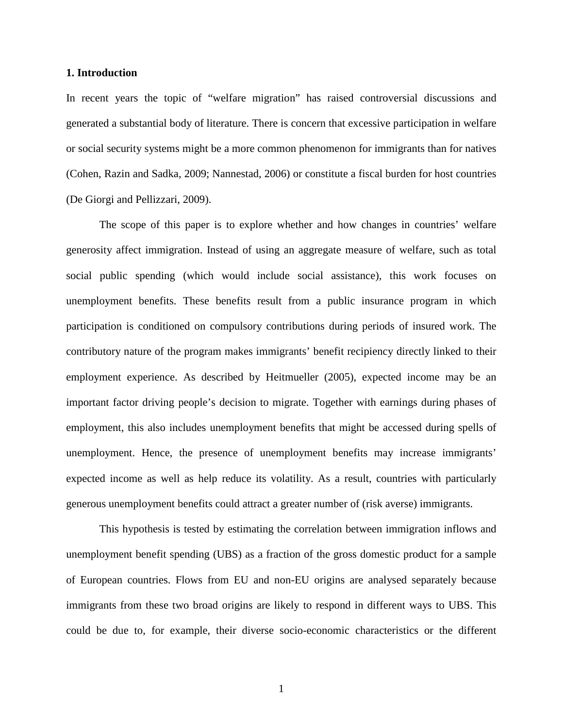#### **1. Introduction**

In recent years the topic of "welfare migration" has raised controversial discussions and generated a substantial body of literature. There is concern that excessive participation in welfare or social security systems might be a more common phenomenon for immigrants than for natives (Cohen, Razin and Sadka, 2009; Nannestad, 2006) or constitute a fiscal burden for host countries (De Giorgi and Pellizzari, 2009).

The scope of this paper is to explore whether and how changes in countries' welfare generosity affect immigration. Instead of using an aggregate measure of welfare, such as total social public spending (which would include social assistance), this work focuses on unemployment benefits. These benefits result from a public insurance program in which participation is conditioned on compulsory contributions during periods of insured work. The contributory nature of the program makes immigrants' benefit recipiency directly linked to their employment experience. As described by Heitmueller (2005), expected income may be an important factor driving people's decision to migrate. Together with earnings during phases of employment, this also includes unemployment benefits that might be accessed during spells of unemployment. Hence, the presence of unemployment benefits may increase immigrants' expected income as well as help reduce its volatility. As a result, countries with particularly generous unemployment benefits could attract a greater number of (risk averse) immigrants.

This hypothesis is tested by estimating the correlation between immigration inflows and unemployment benefit spending (UBS) as a fraction of the gross domestic product for a sample of European countries. Flows from EU and non-EU origins are analysed separately because immigrants from these two broad origins are likely to respond in different ways to UBS. This could be due to, for example, their diverse socio-economic characteristics or the different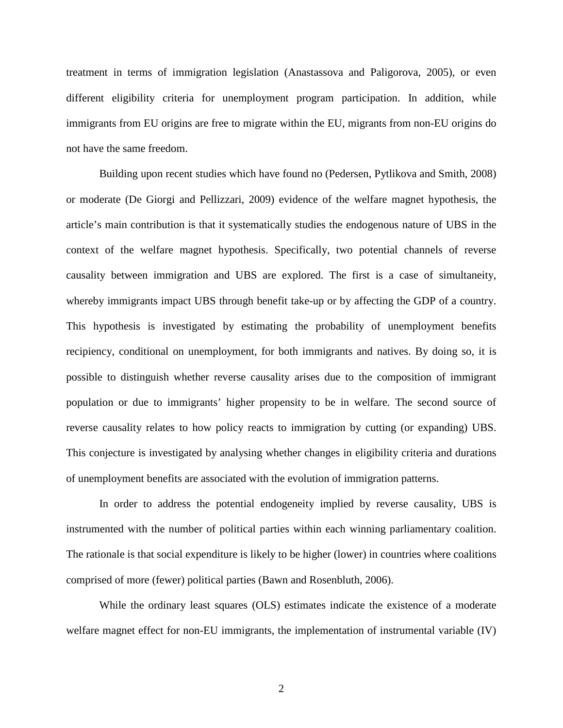treatment in terms of immigration legislation (Anastassova and Paligorova, 2005), or even different eligibility criteria for unemployment program participation. In addition, while immigrants from EU origins are free to migrate within the EU, migrants from non-EU origins do not have the same freedom.

Building upon recent studies which have found no (Pedersen, Pytlikova and Smith, 2008) or moderate (De Giorgi and Pellizzari, 2009) evidence of the welfare magnet hypothesis, the article's main contribution is that it systematically studies the endogenous nature of UBS in the context of the welfare magnet hypothesis. Specifically, two potential channels of reverse causality between immigration and UBS are explored. The first is a case of simultaneity, whereby immigrants impact UBS through benefit take-up or by affecting the GDP of a country. This hypothesis is investigated by estimating the probability of unemployment benefits recipiency, conditional on unemployment, for both immigrants and natives. By doing so, it is possible to distinguish whether reverse causality arises due to the composition of immigrant population or due to immigrants' higher propensity to be in welfare. The second source of reverse causality relates to how policy reacts to immigration by cutting (or expanding) UBS. This conjecture is investigated by analysing whether changes in eligibility criteria and durations of unemployment benefits are associated with the evolution of immigration patterns.

In order to address the potential endogeneity implied by reverse causality, UBS is instrumented with the number of political parties within each winning parliamentary coalition. The rationale is that social expenditure is likely to be higher (lower) in countries where coalitions comprised of more (fewer) political parties (Bawn and Rosenbluth, 2006).

While the ordinary least squares (OLS) estimates indicate the existence of a moderate welfare magnet effect for non-EU immigrants, the implementation of instrumental variable (IV)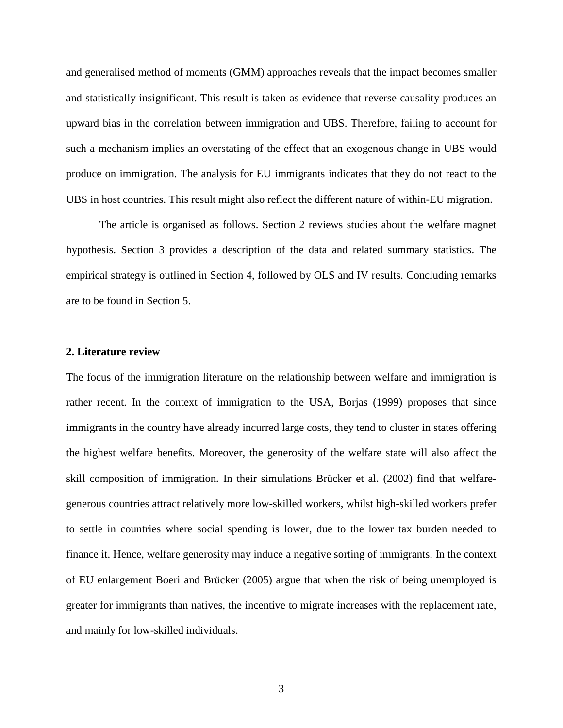and generalised method of moments (GMM) approaches reveals that the impact becomes smaller and statistically insignificant. This result is taken as evidence that reverse causality produces an upward bias in the correlation between immigration and UBS. Therefore, failing to account for such a mechanism implies an overstating of the effect that an exogenous change in UBS would produce on immigration. The analysis for EU immigrants indicates that they do not react to the UBS in host countries. This result might also reflect the different nature of within-EU migration.

The article is organised as follows. Section 2 reviews studies about the welfare magnet hypothesis. Section 3 provides a description of the data and related summary statistics. The empirical strategy is outlined in Section 4, followed by OLS and IV results. Concluding remarks are to be found in Section 5.

#### **2. Literature review**

The focus of the immigration literature on the relationship between welfare and immigration is rather recent. In the context of immigration to the USA, Borjas (1999) proposes that since immigrants in the country have already incurred large costs, they tend to cluster in states offering the highest welfare benefits. Moreover, the generosity of the welfare state will also affect the skill composition of immigration. In their simulations Brücker et al. (2002) find that welfaregenerous countries attract relatively more low-skilled workers, whilst high-skilled workers prefer to settle in countries where social spending is lower, due to the lower tax burden needed to finance it. Hence, welfare generosity may induce a negative sorting of immigrants. In the context of EU enlargement Boeri and Brücker (2005) argue that when the risk of being unemployed is greater for immigrants than natives, the incentive to migrate increases with the replacement rate, and mainly for low-skilled individuals.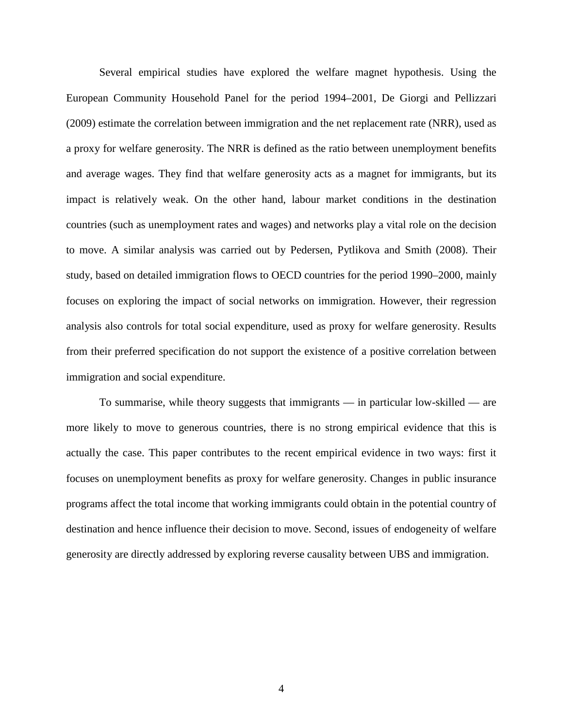Several empirical studies have explored the welfare magnet hypothesis. Using the European Community Household Panel for the period 1994–2001, De Giorgi and Pellizzari (2009) estimate the correlation between immigration and the net replacement rate (NRR), used as a proxy for welfare generosity. The NRR is defined as the ratio between unemployment benefits and average wages. They find that welfare generosity acts as a magnet for immigrants, but its impact is relatively weak. On the other hand, labour market conditions in the destination countries (such as unemployment rates and wages) and networks play a vital role on the decision to move. A similar analysis was carried out by Pedersen, Pytlikova and Smith (2008). Their study, based on detailed immigration flows to OECD countries for the period 1990–2000, mainly focuses on exploring the impact of social networks on immigration. However, their regression analysis also controls for total social expenditure, used as proxy for welfare generosity. Results from their preferred specification do not support the existence of a positive correlation between immigration and social expenditure.

To summarise, while theory suggests that immigrants — in particular low-skilled — are more likely to move to generous countries, there is no strong empirical evidence that this is actually the case. This paper contributes to the recent empirical evidence in two ways: first it focuses on unemployment benefits as proxy for welfare generosity. Changes in public insurance programs affect the total income that working immigrants could obtain in the potential country of destination and hence influence their decision to move. Second, issues of endogeneity of welfare generosity are directly addressed by exploring reverse causality between UBS and immigration.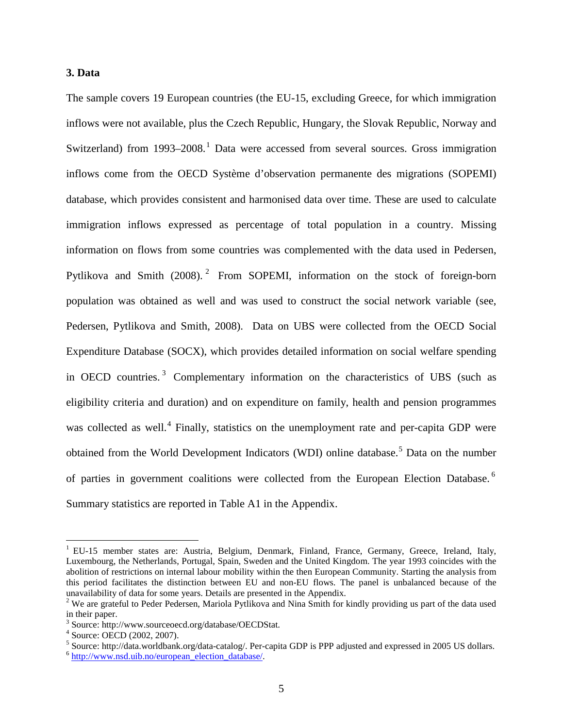# **3. Data**

The sample covers 19 European countries (the EU-15, excluding Greece, for which immigration inflows were not available, plus the Czech Republic, Hungary, the Slovak Republic, Norway and Switzerland) from [1](#page-0-0)993–2008.<sup>1</sup> Data were accessed from several sources. Gross immigration inflows come from the OECD Système d'observation permanente des migrations (SOPEMI) database, which provides consistent and harmonised data over time. These are used to calculate immigration inflows expressed as percentage of total population in a country. Missing information on flows from some countries was complemented with the data used in Pedersen, Pytlikova and Smith ([2](#page-5-0)008).<sup>2</sup> From SOPEMI, information on the stock of foreign-born population was obtained as well and was used to construct the social network variable (see, Pedersen, Pytlikova and Smith, 2008). Data on UBS were collected from the OECD Social Expenditure Database (SOCX), which provides detailed information on social welfare spending in OECD countries.<sup>[3](#page-5-1)</sup> Complementary information on the characteristics of UBS (such as eligibility criteria and duration) and on expenditure on family, health and pension programmes was collected as well.<sup>[4](#page-5-2)</sup> Finally, statistics on the unemployment rate and per-capita GDP were obtained from the World Development Indicators (WDI) online database.<sup>[5](#page-5-3)</sup> Data on the number of parties in government coalitions were collected from the European Election Database.<sup>[6](#page-5-4)</sup> Summary statistics are reported in Table A1 in the Appendix.

<span id="page-5-5"></span><sup>&</sup>lt;sup>1</sup> EU-15 member states are: Austria, Belgium, Denmark, Finland, France, Germany, Greece, Ireland, Italy, Luxembourg, the Netherlands, Portugal, Spain, Sweden and the United Kingdom. The year 1993 coincides with the abolition of restrictions on internal labour mobility within the then European Community. Starting the analysis from this period facilitates the distinction between EU and non-EU flows. The panel is unbalanced because of the unavailability of data for some years. Details are presented in the Appendix.

<span id="page-5-0"></span> $2$  We are grateful to Peder Pedersen, Mariola Pytlikova and Nina Smith for kindly providing us part of the data used in their paper.

<span id="page-5-1"></span> $3$  Source: http://www.sourceoecd.org/database/OECDStat.<br> $4$  Source: OECD (2002, 2007).

<span id="page-5-3"></span><span id="page-5-2"></span><sup>&</sup>lt;sup>5</sup> Source: http://data.worldbank.org/data-catalog/. Per-capita GDP is PPP adjusted and expressed in 2005 US dollars.  $6$  [http://www.nsd.uib.no/european\\_election\\_database/.](http://www.nsd.uib.no/european_election_database/)

<span id="page-5-4"></span>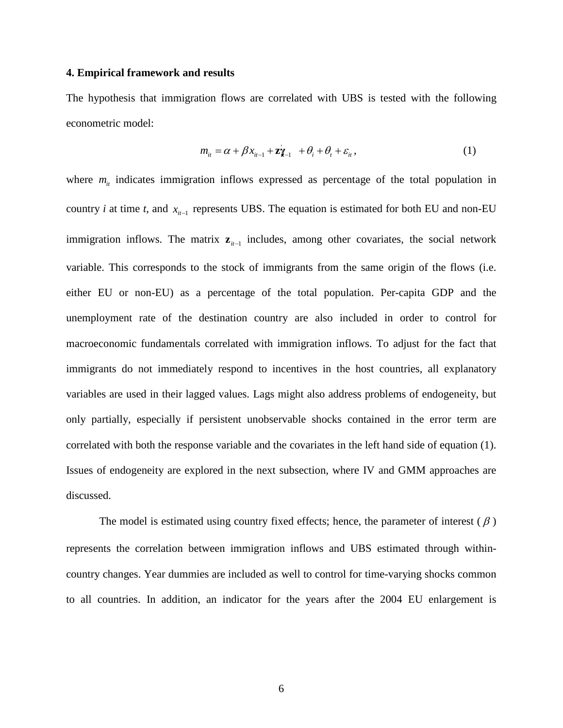#### **4. Empirical framework and results**

The hypothesis that immigration flows are correlated with UBS is tested with the following econometric model:

$$
m_{it} = \alpha + \beta x_{it-1} + \mathbf{z}_{t-1} + \theta_i + \theta_t + \varepsilon_{it},
$$
\n(1)

where  $m_{it}$  indicates immigration inflows expressed as percentage of the total population in country *i* at time *t*, and  $x_{it-1}$  represents UBS. The equation is estimated for both EU and non-EU immigration inflows. The matrix **z**<sub>*i*t−1</sub> includes, among other covariates, the social network variable. This corresponds to the stock of immigrants from the same origin of the flows (i.e. either EU or non-EU) as a percentage of the total population. Per-capita GDP and the unemployment rate of the destination country are also included in order to control for macroeconomic fundamentals correlated with immigration inflows. To adjust for the fact that immigrants do not immediately respond to incentives in the host countries, all explanatory variables are used in their lagged values. Lags might also address problems of endogeneity, but only partially, especially if persistent unobservable shocks contained in the error term are correlated with both the response variable and the covariates in the left hand side of equation (1). Issues of endogeneity are explored in the next subsection, where IV and GMM approaches are discussed.

The model is estimated using country fixed effects; hence, the parameter of interest ( $\beta$ ) represents the correlation between immigration inflows and UBS estimated through withincountry changes. Year dummies are included as well to control for time-varying shocks common to all countries. In addition, an indicator for the years after the 2004 EU enlargement is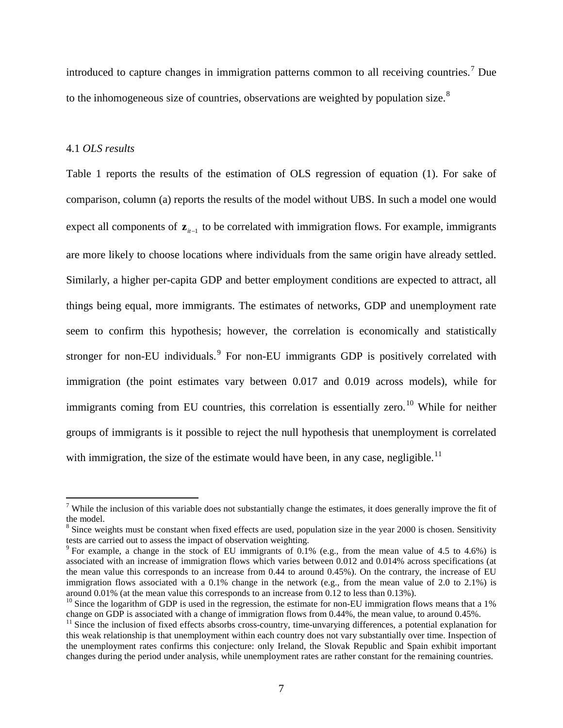introduced to capture changes in immigration patterns common to all receiving countries. [7](#page-5-5) Due to the inhomogeneous size of countries, observations are weighted by population size.<sup>[8](#page-7-0)</sup>

### 4.1 *OLS results*

Table 1 reports the results of the estimation of OLS regression of equation (1). For sake of comparison, column (a) reports the results of the model without UBS. In such a model one would expect all components of **z**<sub>*it*−1</sub> to be correlated with immigration flows. For example, immigrants are more likely to choose locations where individuals from the same origin have already settled. Similarly, a higher per-capita GDP and better employment conditions are expected to attract, all things being equal, more immigrants. The estimates of networks, GDP and unemployment rate seem to confirm this hypothesis; however, the correlation is economically and statistically stronger for non-EU individuals.<sup>[9](#page-7-1)</sup> For non-EU immigrants GDP is positively correlated with immigration (the point estimates vary between 0.017 and 0.019 across models), while for immigrants coming from EU countries, this correlation is essentially zero.<sup>[10](#page-7-2)</sup> While for neither groups of immigrants is it possible to reject the null hypothesis that unemployment is correlated with immigration, the size of the estimate would have been, in any case, negligible.<sup>[11](#page-7-3)</sup>

<sup>&</sup>lt;sup>7</sup> While the inclusion of this variable does not substantially change the estimates, it does generally improve the fit of the model.

<span id="page-7-0"></span><sup>&</sup>lt;sup>8</sup> Since weights must be constant when fixed effects are used, population size in the year 2000 is chosen. Sensitivity tests are carried out to assess the impact of observation weighting.

<span id="page-7-1"></span><sup>&</sup>lt;sup>9</sup> For example, a change in the stock of EU immigrants of 0.1% (e.g., from the mean value of 4.5 to 4.6%) is associated with an increase of immigration flows which varies between 0.012 and 0.014% across specifications (at the mean value this corresponds to an increase from 0.44 to around 0.45%). On the contrary, the increase of EU immigration flows associated with a 0.1% change in the network (e.g., from the mean value of 2.0 to 2.1%) is around 0.01% (at the mean value this corresponds to an increase from 0.12 to less than 0.13%).

<span id="page-7-2"></span><sup>&</sup>lt;sup>10</sup> Since the logarithm of GDP is used in the regression, the estimate for non-EU immigration flows means that a 1% change on GDP is associated with a change of immigration flows from 0.44%, the mean value, to around 0.45%.

<span id="page-7-4"></span><span id="page-7-3"></span> $11$  Since the inclusion of fixed effects absorbs cross-country, time-unvarying differences, a potential explanation for this weak relationship is that unemployment within each country does not vary substantially over time. Inspection of the unemployment rates confirms this conjecture: only Ireland, the Slovak Republic and Spain exhibit important changes during the period under analysis, while unemployment rates are rather constant for the remaining countries.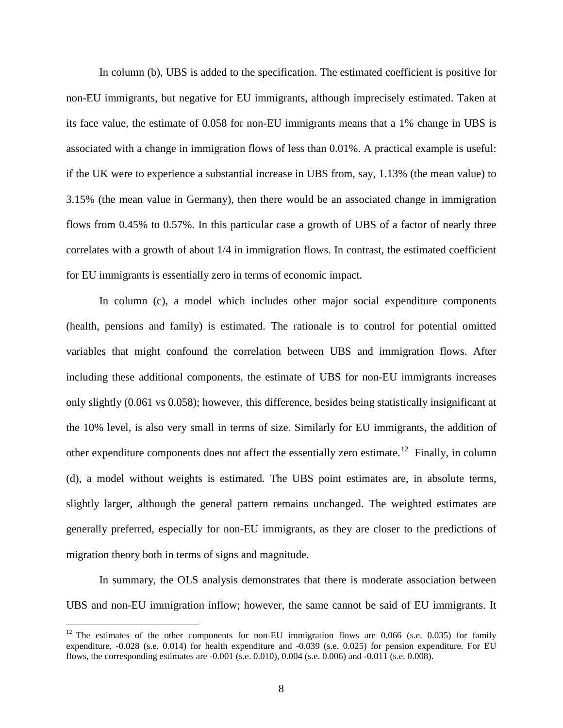In column (b), UBS is added to the specification. The estimated coefficient is positive for non-EU immigrants, but negative for EU immigrants, although imprecisely estimated. Taken at its face value, the estimate of 0.058 for non-EU immigrants means that a 1% change in UBS is associated with a change in immigration flows of less than 0.01%. A practical example is useful: if the UK were to experience a substantial increase in UBS from, say, 1.13% (the mean value) to 3.15% (the mean value in Germany), then there would be an associated change in immigration flows from 0.45% to 0.57%. In this particular case a growth of UBS of a factor of nearly three correlates with a growth of about 1/4 in immigration flows. In contrast, the estimated coefficient for EU immigrants is essentially zero in terms of economic impact.

In column (c), a model which includes other major social expenditure components (health, pensions and family) is estimated. The rationale is to control for potential omitted variables that might confound the correlation between UBS and immigration flows. After including these additional components, the estimate of UBS for non-EU immigrants increases only slightly (0.061 vs 0.058); however, this difference, besides being statistically insignificant at the 10% level, is also very small in terms of size. Similarly for EU immigrants, the addition of other expenditure components does not affect the essentially zero estimate.<sup>[12](#page-7-4)</sup> Finally, in column (d), a model without weights is estimated. The UBS point estimates are, in absolute terms, slightly larger, although the general pattern remains unchanged. The weighted estimates are generally preferred, especially for non-EU immigrants, as they are closer to the predictions of migration theory both in terms of signs and magnitude.

In summary, the OLS analysis demonstrates that there is moderate association between UBS and non-EU immigration inflow; however, the same cannot be said of EU immigrants. It

<span id="page-8-0"></span><sup>&</sup>lt;sup>12</sup> The estimates of the other components for non-EU immigration flows are 0.066 (s.e. 0.035) for family expenditure, -0.028 (s.e. 0.014) for health expenditure and -0.039 (s.e. 0.025) for pension expenditure. For EU flows, the corresponding estimates are -0.001 (s.e. 0.010), 0.004 (s.e. 0.006) and -0.011 (s.e. 0.008).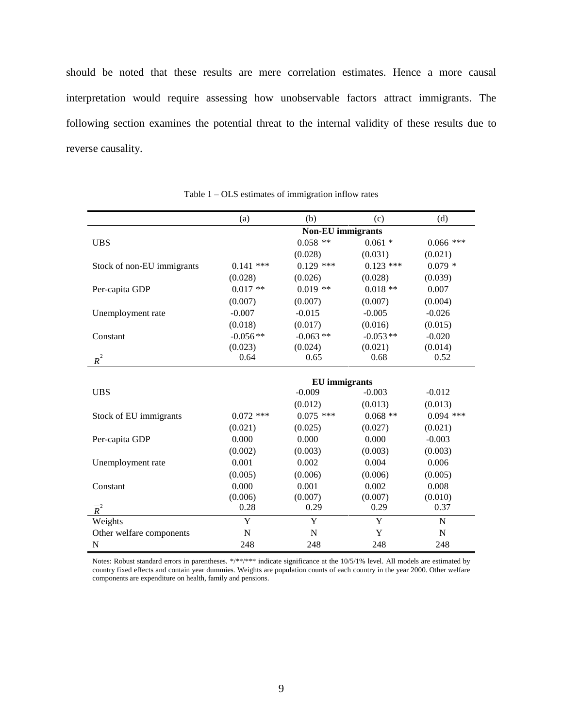should be noted that these results are mere correlation estimates. Hence a more causal interpretation would require assessing how unobservable factors attract immigrants. The following section examines the potential threat to the internal validity of these results due to reverse causality.

|                            | (a)                      | (b)                  | (c)         | (d)         |  |  |
|----------------------------|--------------------------|----------------------|-------------|-------------|--|--|
|                            | <b>Non-EU</b> immigrants |                      |             |             |  |  |
| <b>UBS</b>                 |                          | $0.058$ **           | $0.061 *$   | $0.066$ *** |  |  |
|                            |                          | (0.028)              | (0.031)     | (0.021)     |  |  |
| Stock of non-EU immigrants | $0.141$ ***              | $0.129$ ***          | $0.123$ *** | $0.079*$    |  |  |
|                            | (0.028)                  | (0.026)              | (0.028)     | (0.039)     |  |  |
| Per-capita GDP             | $0.017**$                | $0.019$ **           | $0.018**$   | 0.007       |  |  |
|                            | (0.007)                  | (0.007)              | (0.007)     | (0.004)     |  |  |
| Unemployment rate          | $-0.007$                 | $-0.015$             | $-0.005$    | $-0.026$    |  |  |
|                            | (0.018)                  | (0.017)              | (0.016)     | (0.015)     |  |  |
| Constant                   | $-0.056**$               | $-0.063$ **          | $-0.053**$  | $-0.020$    |  |  |
|                            | (0.023)                  | (0.024)              | (0.021)     | (0.014)     |  |  |
| $\overline{R}^2$           | 0.64                     | 0.65                 | 0.68        | 0.52        |  |  |
|                            |                          |                      |             |             |  |  |
|                            |                          | <b>EU</b> immigrants |             |             |  |  |
| <b>UBS</b>                 |                          | $-0.009$             | $-0.003$    | $-0.012$    |  |  |
|                            |                          | (0.012)              | (0.013)     | (0.013)     |  |  |
| Stock of EU immigrants     | $0.072$ ***              | $0.075$ ***          | $0.068**$   | $0.094$ *** |  |  |
|                            | (0.021)                  | (0.025)              | (0.027)     | (0.021)     |  |  |
| Per-capita GDP             | 0.000                    | 0.000                | 0.000       | $-0.003$    |  |  |
|                            | (0.002)                  | (0.003)              | (0.003)     | (0.003)     |  |  |
| Unemployment rate          | 0.001                    | 0.002                | 0.004       | 0.006       |  |  |
|                            | (0.005)                  | (0.006)              | (0.006)     | (0.005)     |  |  |
| Constant                   | 0.000                    | 0.001                | 0.002       | 0.008       |  |  |
|                            | (0.006)                  | (0.007)              | (0.007)     | (0.010)     |  |  |
| $\overline{R}^2$           | 0.28                     | 0.29                 | 0.29        | 0.37        |  |  |
| Weights                    | Y                        | Y                    | Y           | $\mathbf N$ |  |  |
| Other welfare components   | $\mathbf N$              | $\overline{N}$       | Y           | N           |  |  |
| $\mathbf N$                | 248                      | 248                  | 248         | 248         |  |  |

Table 1 – OLS estimates of immigration inflow rates

Notes: Robust standard errors in parentheses. \*/\*\*/\*\*\* indicate significance at the 10/5/1% level. All models are estimated by country fixed effects and contain year dummies. Weights are population counts of each country in the year 2000. Other welfare components are expenditure on health, family and pensions.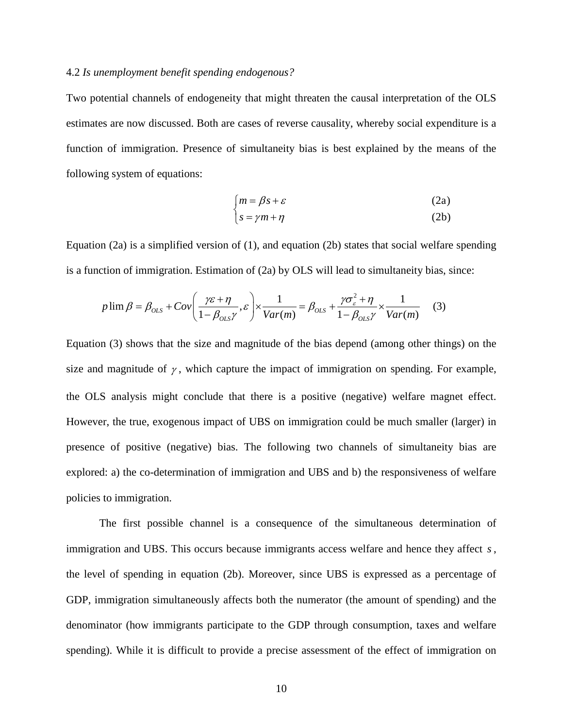### 4.2 *Is unemployment benefit spending endogenous?*

Two potential channels of endogeneity that might threaten the causal interpretation of the OLS estimates are now discussed. Both are cases of reverse causality, whereby social expenditure is a function of immigration. Presence of simultaneity bias is best explained by the means of the following system of equations:

$$
\begin{cases} m = \beta s + \varepsilon & (2a) \\ s = \gamma m + \eta & (2b) \end{cases}
$$

Equation (2a) is a simplified version of (1), and equation (2b) states that social welfare spending is a function of immigration. Estimation of (2a) by OLS will lead to simultaneity bias, since:

$$
p \lim \beta = \beta_{OLS} + Cov\left(\frac{\gamma \varepsilon + \eta}{1 - \beta_{OLS} \gamma}, \varepsilon\right) \times \frac{1}{Var(m)} = \beta_{OLS} + \frac{\gamma \sigma_{\varepsilon}^2 + \eta}{1 - \beta_{OLS} \gamma} \times \frac{1}{Var(m)} \tag{3}
$$

Equation (3) shows that the size and magnitude of the bias depend (among other things) on the size and magnitude of  $\gamma$ , which capture the impact of immigration on spending. For example, the OLS analysis might conclude that there is a positive (negative) welfare magnet effect. However, the true, exogenous impact of UBS on immigration could be much smaller (larger) in presence of positive (negative) bias. The following two channels of simultaneity bias are explored: a) the co-determination of immigration and UBS and b) the responsiveness of welfare policies to immigration.

The first possible channel is a consequence of the simultaneous determination of immigration and UBS. This occurs because immigrants access welfare and hence they affect *s*, the level of spending in equation (2b). Moreover, since UBS is expressed as a percentage of GDP, immigration simultaneously affects both the numerator (the amount of spending) and the denominator (how immigrants participate to the GDP through consumption, taxes and welfare spending). While it is difficult to provide a precise assessment of the effect of immigration on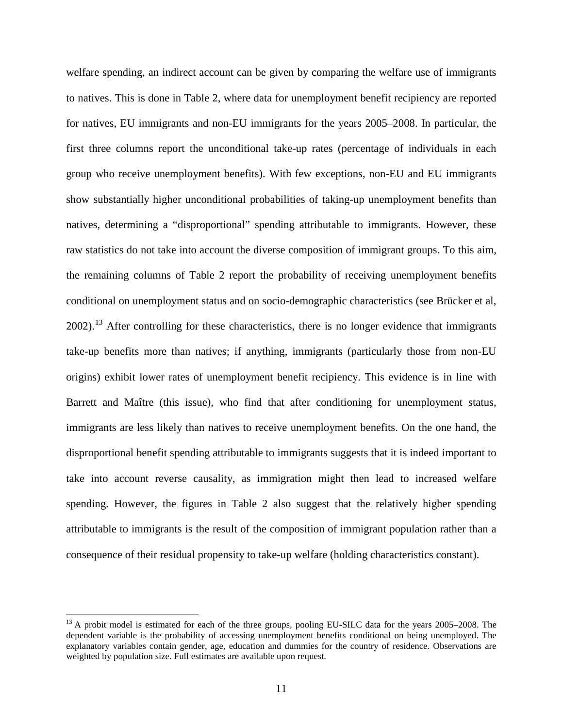welfare spending, an indirect account can be given by comparing the welfare use of immigrants to natives. This is done in Table 2, where data for unemployment benefit recipiency are reported for natives, EU immigrants and non-EU immigrants for the years 2005–2008. In particular, the first three columns report the unconditional take-up rates (percentage of individuals in each group who receive unemployment benefits). With few exceptions, non-EU and EU immigrants show substantially higher unconditional probabilities of taking-up unemployment benefits than natives, determining a "disproportional" spending attributable to immigrants. However, these raw statistics do not take into account the diverse composition of immigrant groups. To this aim, the remaining columns of Table 2 report the probability of receiving unemployment benefits conditional on unemployment status and on socio-demographic characteristics (see Brücker et al, 2002).<sup>[13](#page-8-0)</sup> After controlling for these characteristics, there is no longer evidence that immigrants take-up benefits more than natives; if anything, immigrants (particularly those from non-EU origins) exhibit lower rates of unemployment benefit recipiency. This evidence is in line with Barrett and Maître (this issue), who find that after conditioning for unemployment status, immigrants are less likely than natives to receive unemployment benefits. On the one hand, the disproportional benefit spending attributable to immigrants suggests that it is indeed important to take into account reverse causality, as immigration might then lead to increased welfare spending. However, the figures in Table 2 also suggest that the relatively higher spending attributable to immigrants is the result of the composition of immigrant population rather than a consequence of their residual propensity to take-up welfare (holding characteristics constant).

<span id="page-11-0"></span><sup>&</sup>lt;sup>13</sup> A probit model is estimated for each of the three groups, pooling EU-SILC data for the years 2005–2008. The dependent variable is the probability of accessing unemployment benefits conditional on being unemployed. The explanatory variables contain gender, age, education and dummies for the country of residence. Observations are weighted by population size. Full estimates are available upon request.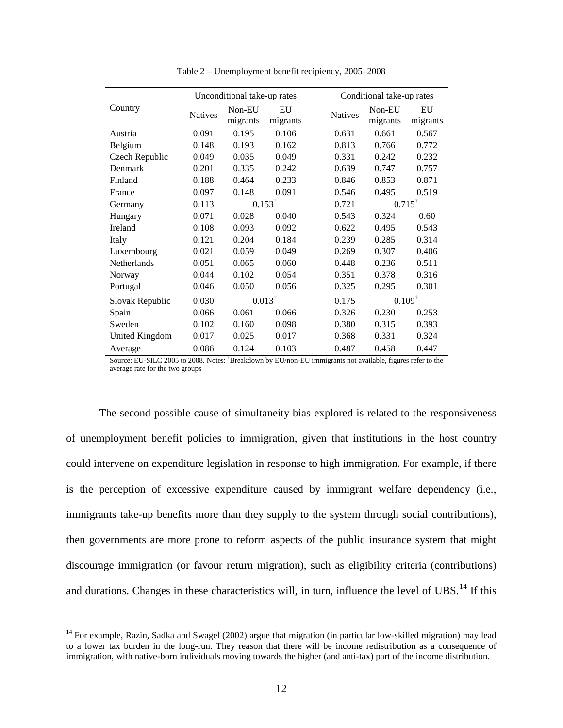|                 | Unconditional take-up rates |                    |                |       | Conditional take-up rates |                    |                |  |
|-----------------|-----------------------------|--------------------|----------------|-------|---------------------------|--------------------|----------------|--|
| Country         | <b>Natives</b>              | Non-EU<br>migrants | EU<br>migrants |       | <b>Natives</b>            | Non-EU<br>migrants | EU<br>migrants |  |
| Austria         | 0.091                       | 0.195              | 0.106          |       | 0.631                     | 0.661              | 0.567          |  |
| Belgium         | 0.148                       | 0.193              | 0.162          |       | 0.813                     | 0.766              | 0.772          |  |
| Czech Republic  | 0.049                       | 0.035              | 0.049          |       | 0.331                     | 0.242              | 0.232          |  |
| Denmark         | 0.201                       | 0.335              | 0.242          |       | 0.639                     | 0.747              | 0.757          |  |
| Finland         | 0.188                       | 0.464              | 0.233          |       | 0.846                     | 0.853              | 0.871          |  |
| France          | 0.097                       | 0.148              | 0.091          |       | 0.546                     | 0.495              | 0.519          |  |
| Germany         | 0.113                       | $0.153^{\dagger}$  |                | 0.721 | $0.715^{\dagger}$         |                    |                |  |
| Hungary         | 0.071                       | 0.028              | 0.040          |       | 0.543                     | 0.324              | 0.60           |  |
| Ireland         | 0.108                       | 0.093              | 0.092          |       | 0.622                     | 0.495              | 0.543          |  |
| Italy           | 0.121                       | 0.204              | 0.184          |       | 0.239                     | 0.285              | 0.314          |  |
| Luxembourg      | 0.021                       | 0.059              | 0.049          |       | 0.269                     | 0.307              | 0.406          |  |
| Netherlands     | 0.051                       | 0.065              | 0.060          |       | 0.448                     | 0.236              | 0.511          |  |
| Norway          | 0.044                       | 0.102              | 0.054          |       | 0.351                     | 0.378              | 0.316          |  |
| Portugal        | 0.046                       | 0.050              | 0.056          |       | 0.325                     | 0.295              | 0.301          |  |
| Slovak Republic | 0.030                       | $0.013^{\dagger}$  |                | 0.175 | $0.109^{\dagger}$         |                    |                |  |
| Spain           | 0.066                       | 0.061              | 0.066          |       | 0.326                     | 0.230              | 0.253          |  |
| Sweden          | 0.102                       | 0.160              | 0.098          |       | 0.380                     | 0.315              | 0.393          |  |
| United Kingdom  | 0.017                       | 0.025              | 0.017          |       | 0.368                     | 0.331              | 0.324          |  |
| Average         | 0.086                       | 0.124              | 0.103          |       | 0.487                     | 0.458              | 0.447          |  |

Table 2 – Unemployment benefit recipiency, 2005–2008

Source: EU-SILC 2005 to 2008. Notes: † Breakdown by EU/non-EU immigrants not available, figures refer to the average rate for the two groups

The second possible cause of simultaneity bias explored is related to the responsiveness of unemployment benefit policies to immigration, given that institutions in the host country could intervene on expenditure legislation in response to high immigration. For example, if there is the perception of excessive expenditure caused by immigrant welfare dependency (i.e., immigrants take-up benefits more than they supply to the system through social contributions), then governments are more prone to reform aspects of the public insurance system that might discourage immigration (or favour return migration), such as eligibility criteria (contributions) and durations. Changes in these characteristics will, in turn, influence the level of UBS.<sup>[14](#page-11-0)</sup> If this

<span id="page-12-0"></span><sup>&</sup>lt;sup>14</sup> For example, Razin, Sadka and Swagel (2002) argue that migration (in particular low-skilled migration) may lead to a lower tax burden in the long-run. They reason that there will be income redistribution as a consequence of immigration, with native-born individuals moving towards the higher (and anti-tax) part of the income distribution.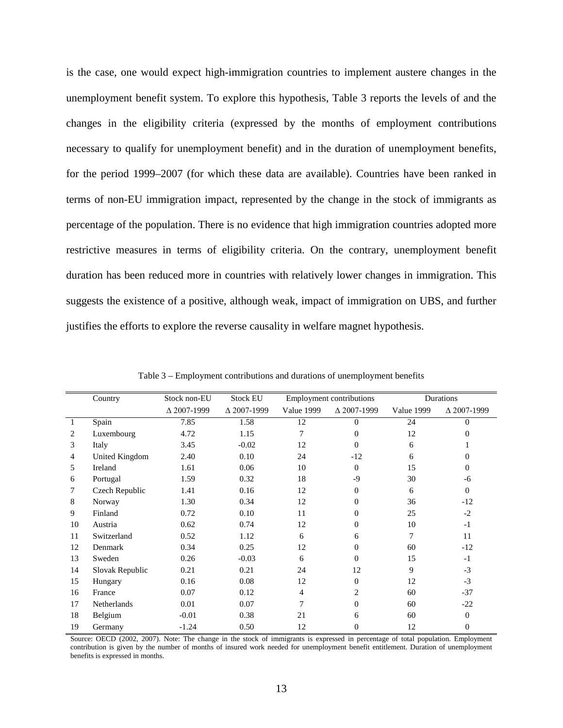is the case, one would expect high-immigration countries to implement austere changes in the unemployment benefit system. To explore this hypothesis, Table 3 reports the levels of and the changes in the eligibility criteria (expressed by the months of employment contributions necessary to qualify for unemployment benefit) and in the duration of unemployment benefits, for the period 1999–2007 (for which these data are available). Countries have been ranked in terms of non-EU immigration impact, represented by the change in the stock of immigrants as percentage of the population. There is no evidence that high immigration countries adopted more restrictive measures in terms of eligibility criteria. On the contrary, unemployment benefit duration has been reduced more in countries with relatively lower changes in immigration. This suggests the existence of a positive, although weak, impact of immigration on UBS, and further justifies the efforts to explore the reverse causality in welfare magnet hypothesis.

|    | Country            | Stock non-EU       | <b>Stock EU</b>    |                   | <b>Employment contributions</b> |                   | Durations          |  |
|----|--------------------|--------------------|--------------------|-------------------|---------------------------------|-------------------|--------------------|--|
|    |                    | $\Delta$ 2007-1999 | $\Delta$ 2007-1999 | <b>Value 1999</b> | $\Delta$ 2007-1999              | <b>Value 1999</b> | $\Delta$ 2007-1999 |  |
| 1  | Spain              | 7.85               | 1.58               | 12                | $\Omega$                        | 24                | $\Omega$           |  |
| 2  | Luxembourg         | 4.72               | 1.15               | 7                 | $\overline{0}$                  | 12                | $\Omega$           |  |
| 3  | Italy              | 3.45               | $-0.02$            | 12                | $\theta$                        | 6                 |                    |  |
| 4  | United Kingdom     | 2.40               | 0.10               | 24                | $-12$                           | 6                 | $\Omega$           |  |
| 5  | Ireland            | 1.61               | 0.06               | 10                | $\Omega$                        | 15                | $\Omega$           |  |
| 6  | Portugal           | 1.59               | 0.32               | 18                | -9                              | 30                | $-6$               |  |
| 7  | Czech Republic     | 1.41               | 0.16               | 12                | $\overline{0}$                  | 6                 | $\Omega$           |  |
| 8  | Norway             | 1.30               | 0.34               | 12                | $\overline{0}$                  | 36                | $-12$              |  |
| 9  | Finland            | 0.72               | 0.10               | 11                | $\overline{0}$                  | 25                | $-2$               |  |
| 10 | Austria            | 0.62               | 0.74               | 12                | $\theta$                        | 10                | $-1$               |  |
| 11 | Switzerland        | 0.52               | 1.12               | 6                 | 6                               | $\tau$            | 11                 |  |
| 12 | Denmark            | 0.34               | 0.25               | 12                | $\overline{0}$                  | 60                | $-12$              |  |
| 13 | Sweden             | 0.26               | $-0.03$            | 6                 | $\Omega$                        | 15                | $-1$               |  |
| 14 | Slovak Republic    | 0.21               | 0.21               | 24                | 12                              | 9                 | $-3$               |  |
| 15 | Hungary            | 0.16               | 0.08               | 12                | $\Omega$                        | 12                | $-3$               |  |
| 16 | France             | 0.07               | 0.12               | $\overline{4}$    | 2                               | 60                | $-37$              |  |
| 17 | <b>Netherlands</b> | 0.01               | 0.07               | 7                 | $\Omega$                        | 60                | $-22$              |  |
| 18 | Belgium            | $-0.01$            | 0.38               | 21                | 6                               | 60                | $\overline{0}$     |  |
| 19 | Germany            | $-1.24$            | 0.50               | 12                | $\overline{0}$                  | 12                | $\mathbf{0}$       |  |

Table 3 – Employment contributions and durations of unemployment benefits

Source: OECD (2002, 2007). Note: The change in the stock of immigrants is expressed in percentage of total population. Employment contribution is given by the number of months of insured work needed for unemployment benefit entitlement. Duration of unemployment benefits is expressed in months.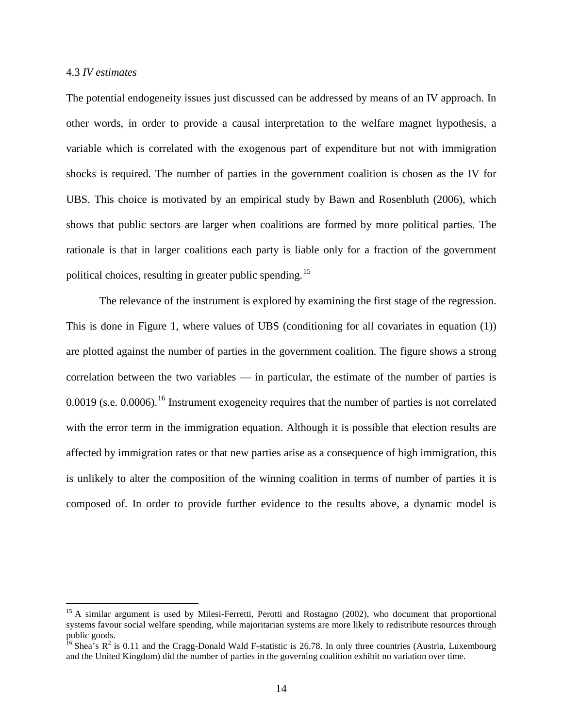### 4.3 *IV estimates*

The potential endogeneity issues just discussed can be addressed by means of an IV approach. In other words, in order to provide a causal interpretation to the welfare magnet hypothesis, a variable which is correlated with the exogenous part of expenditure but not with immigration shocks is required. The number of parties in the government coalition is chosen as the IV for UBS. This choice is motivated by an empirical study by Bawn and Rosenbluth (2006), which shows that public sectors are larger when coalitions are formed by more political parties. The rationale is that in larger coalitions each party is liable only for a fraction of the government political choices, resulting in greater public spending.<sup>[15](#page-12-0)</sup>

The relevance of the instrument is explored by examining the first stage of the regression. This is done in Figure 1, where values of UBS (conditioning for all covariates in equation (1)) are plotted against the number of parties in the government coalition. The figure shows a strong correlation between the two variables — in particular, the estimate of the number of parties is 0.0019 (s.e. 0.0006).<sup>[16](#page-14-0)</sup> Instrument exogeneity requires that the number of parties is not correlated with the error term in the immigration equation. Although it is possible that election results are affected by immigration rates or that new parties arise as a consequence of high immigration, this is unlikely to alter the composition of the winning coalition in terms of number of parties it is composed of. In order to provide further evidence to the results above, a dynamic model is

<span id="page-14-1"></span><sup>&</sup>lt;sup>15</sup> A similar argument is used by Milesi-Ferretti, Perotti and Rostagno (2002), who document that proportional systems favour social welfare spending, while majoritarian systems are more likely to redistribute resources through public goods.

<span id="page-14-0"></span><sup>&</sup>lt;sup>16</sup> Shea's  $R^2$  is 0.11 and the Cragg-Donald Wald F-statistic is 26.78. In only three countries (Austria, Luxembourg and the United Kingdom) did the number of parties in the governing coalition exhibit no variation over time.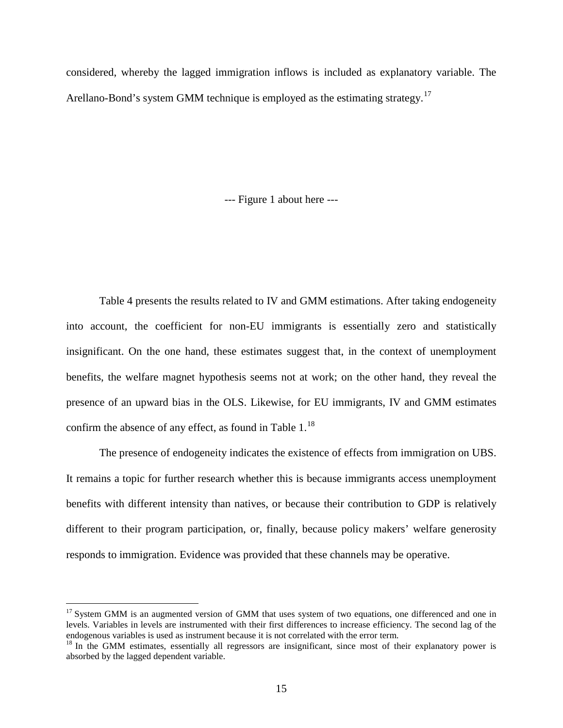considered, whereby the lagged immigration inflows is included as explanatory variable. The Arellano-Bond's system GMM technique is employed as the estimating strategy.<sup>[17](#page-14-1)</sup>

--- Figure 1 about here ---

Table 4 presents the results related to IV and GMM estimations. After taking endogeneity into account, the coefficient for non-EU immigrants is essentially zero and statistically insignificant. On the one hand, these estimates suggest that, in the context of unemployment benefits, the welfare magnet hypothesis seems not at work; on the other hand, they reveal the presence of an upward bias in the OLS. Likewise, for EU immigrants, IV and GMM estimates confirm the absence of any effect, as found in Table  $1.^{18}$  $1.^{18}$  $1.^{18}$ 

The presence of endogeneity indicates the existence of effects from immigration on UBS. It remains a topic for further research whether this is because immigrants access unemployment benefits with different intensity than natives, or because their contribution to GDP is relatively different to their program participation, or, finally, because policy makers' welfare generosity responds to immigration. Evidence was provided that these channels may be operative.

<sup>&</sup>lt;sup>17</sup> System GMM is an augmented version of GMM that uses system of two equations, one differenced and one in levels. Variables in levels are instrumented with their first differences to increase efficiency. The second lag of the endogenous variables is used as instrument because it is not correlated with the error term.

<span id="page-15-0"></span><sup>&</sup>lt;sup>18</sup> In the GMM estimates, essentially all regressors are insignificant, since most of their explanatory power is absorbed by the lagged dependent variable.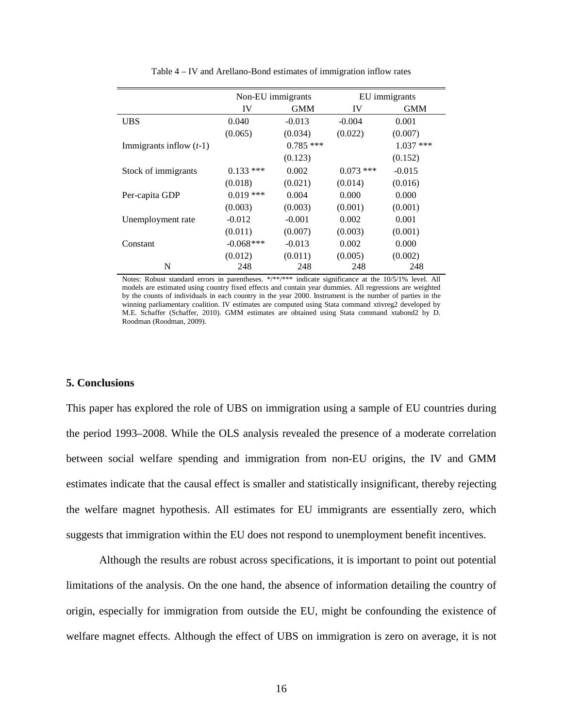|                           | Non-EU immigrants |             | EU immigrants |             |  |
|---------------------------|-------------------|-------------|---------------|-------------|--|
|                           | IV                | <b>GMM</b>  | IV            | <b>GMM</b>  |  |
| <b>UBS</b>                | 0.040             | $-0.013$    | $-0.004$      | 0.001       |  |
|                           | (0.065)           | (0.034)     | (0.022)       | (0.007)     |  |
| Immigrants inflow $(t-1)$ |                   | $0.785$ *** |               | $1.037$ *** |  |
|                           |                   | (0.123)     |               | (0.152)     |  |
| Stock of immigrants       | $0.133$ ***       | 0.002       | $0.073$ ***   | $-0.015$    |  |
|                           | (0.018)           | (0.021)     | (0.014)       | (0.016)     |  |
| Per-capita GDP            | $0.019$ ***       | 0.004       | 0.000         | 0.000       |  |
|                           | (0.003)           | (0.003)     | (0.001)       | (0.001)     |  |
| Unemployment rate         | $-0.012$          | $-0.001$    | 0.002         | 0.001       |  |
|                           | (0.011)           | (0.007)     | (0.003)       | (0.001)     |  |
| Constant                  | $-0.068$ ***      | $-0.013$    | 0.002         | 0.000       |  |
|                           | (0.012)           | (0.011)     | (0.005)       | (0.002)     |  |
| N                         | 248               | 248         | 248           | 248         |  |

Table 4 – IV and Arellano-Bond estimates of immigration inflow rates

Notes: Robust standard errors in parentheses. \*/\*\*/\*\*\* indicate significance at the 10/5/1% level. All models are estimated using country fixed effects and contain year dummies. All regressions are weighted by the counts of individuals in each country in the year 2000. Instrument is the number of parties in the winning parliamentary coalition. IV estimates are computed using Stata command xtivreg2 developed by M.E. Schaffer (Schaffer, 2010). GMM estimates are obtained using Stata command xtabond2 by D. Roodman (Roodman, 2009).

# **5. Conclusions**

This paper has explored the role of UBS on immigration using a sample of EU countries during the period 1993–2008. While the OLS analysis revealed the presence of a moderate correlation between social welfare spending and immigration from non-EU origins, the IV and GMM estimates indicate that the causal effect is smaller and statistically insignificant, thereby rejecting the welfare magnet hypothesis. All estimates for EU immigrants are essentially zero, which suggests that immigration within the EU does not respond to unemployment benefit incentives.

Although the results are robust across specifications, it is important to point out potential limitations of the analysis. On the one hand, the absence of information detailing the country of origin, especially for immigration from outside the EU, might be confounding the existence of welfare magnet effects. Although the effect of UBS on immigration is zero on average, it is not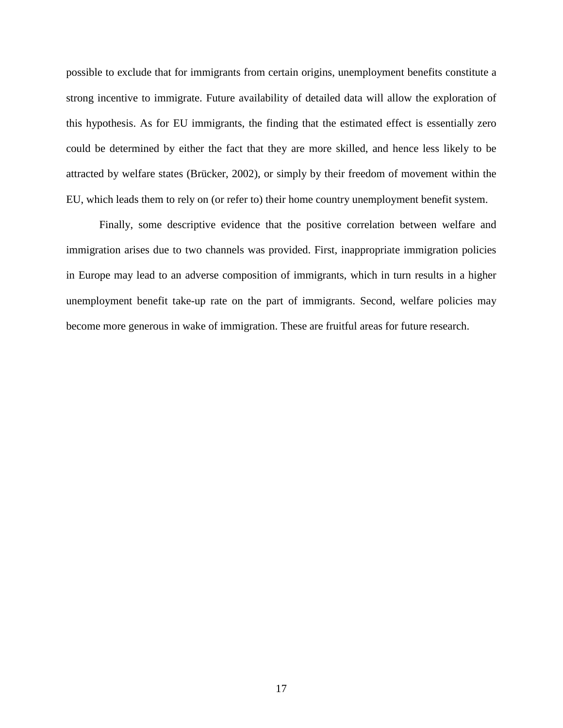possible to exclude that for immigrants from certain origins, unemployment benefits constitute a strong incentive to immigrate. Future availability of detailed data will allow the exploration of this hypothesis. As for EU immigrants, the finding that the estimated effect is essentially zero could be determined by either the fact that they are more skilled, and hence less likely to be attracted by welfare states (Brücker, 2002), or simply by their freedom of movement within the EU, which leads them to rely on (or refer to) their home country unemployment benefit system.

Finally, some descriptive evidence that the positive correlation between welfare and immigration arises due to two channels was provided. First, inappropriate immigration policies in Europe may lead to an adverse composition of immigrants, which in turn results in a higher unemployment benefit take-up rate on the part of immigrants. Second, welfare policies may become more generous in wake of immigration. These are fruitful areas for future research.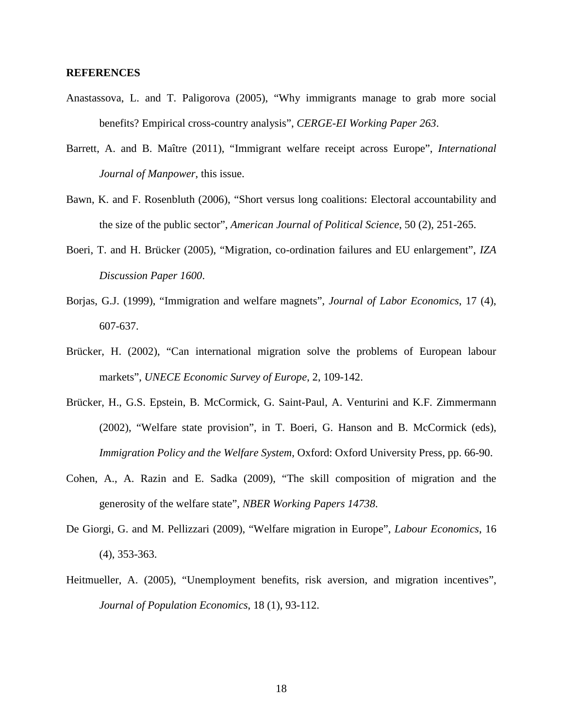### **REFERENCES**

- Anastassova, L. and T. Paligorova (2005), "Why immigrants manage to grab more social benefits? Empirical cross-country analysis", *CERGE-EI Working Paper 263*.
- Barrett, A. and B. Maître (2011), "Immigrant welfare receipt across Europe", *International Journal of Manpower*, this issue.
- Bawn, K. and F. Rosenbluth (2006), "Short versus long coalitions: Electoral accountability and the size of the public sector", *American Journal of Political Science*, 50 (2), 251-265.
- Boeri, T. and H. Brücker (2005), "Migration, co-ordination failures and EU enlargement", *IZA Discussion Paper 1600*.
- Borjas, G.J. (1999), "Immigration and welfare magnets", *Journal of Labor Economics*, 17 (4), 607-637.
- Brücker, H. (2002), "Can international migration solve the problems of European labour markets", *UNECE Economic Survey of Europe*, 2, 109-142.
- Brücker, H., G.S. Epstein, B. McCormick, G. Saint-Paul, A. Venturini and K.F. Zimmermann (2002), "Welfare state provision", in T. Boeri, G. Hanson and B. McCormick (eds), *Immigration Policy and the Welfare System*, Oxford: Oxford University Press, pp. 66-90.
- Cohen, A., A. Razin and E. Sadka (2009), "The skill composition of migration and the generosity of the welfare state", *NBER Working Papers 14738*.
- De Giorgi, G. and M. Pellizzari (2009), "Welfare migration in Europe", *Labour Economics*, 16 (4), 353-363.
- Heitmueller, A. (2005), "Unemployment benefits, risk aversion, and migration incentives", *Journal of Population Economics*, 18 (1), 93-112.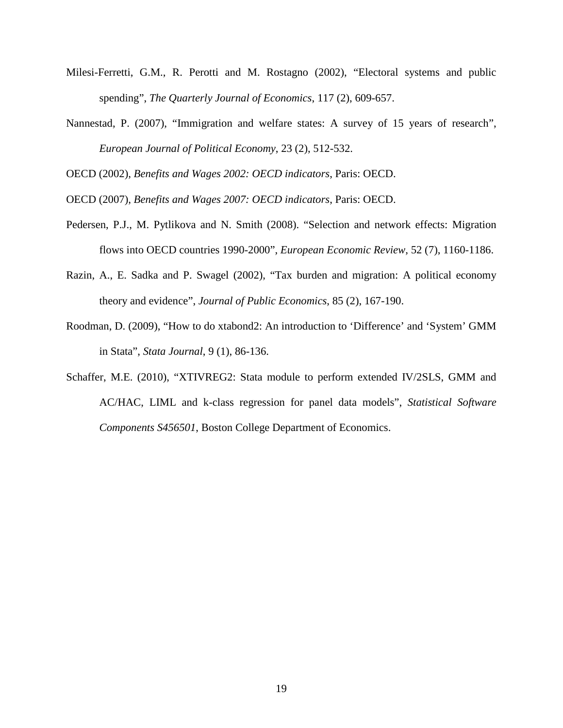- Milesi-Ferretti, G.M., R. Perotti and M. Rostagno (2002), "Electoral systems and public spending", *The Quarterly Journal of Economics*, 117 (2), 609-657.
- Nannestad, P. (2007), "Immigration and welfare states: A survey of 15 years of research", *European Journal of Political Economy*, 23 (2), 512-532.

OECD (2002), *Benefits and Wages 2002: OECD indicators*, Paris: OECD.

OECD (2007), *Benefits and Wages 2007: OECD indicators*, Paris: OECD.

- Pedersen, P.J., M. Pytlikova and N. Smith (2008). "Selection and network effects: Migration flows into OECD countries 1990-2000", *European Economic Review*, 52 (7), 1160-1186.
- Razin, A., E. Sadka and P. Swagel (2002), "Tax burden and migration: A political economy theory and evidence", *Journal of Public Economics*, 85 (2), 167-190.
- Roodman, D. (2009), "How to do xtabond2: An introduction to 'Difference' and 'System' GMM in Stata", *Stata Journal*, 9 (1), 86-136.
- Schaffer, M.E. (2010), "XTIVREG2: Stata module to perform extended IV/2SLS, GMM and AC/HAC, LIML and k-class regression for panel data models", *Statistical Software Components S456501*, Boston College Department of Economics.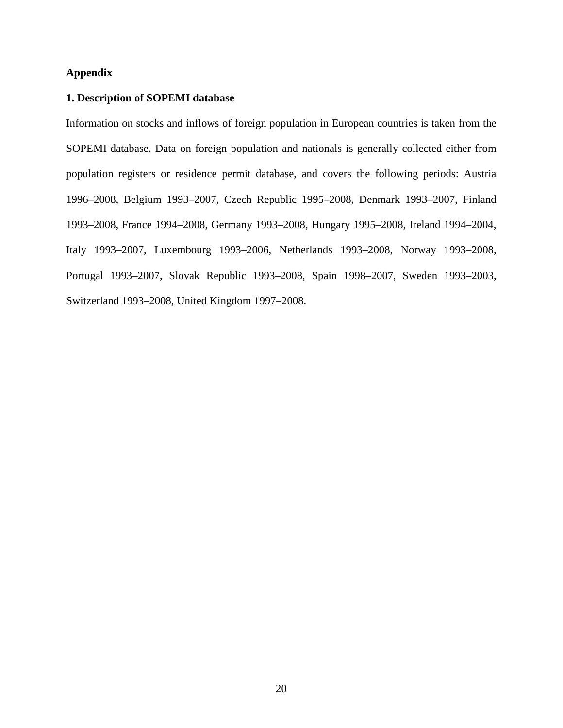# **Appendix**

# **1. Description of SOPEMI database**

Information on stocks and inflows of foreign population in European countries is taken from the SOPEMI database. Data on foreign population and nationals is generally collected either from population registers or residence permit database, and covers the following periods: Austria 1996–2008, Belgium 1993–2007, Czech Republic 1995–2008, Denmark 1993–2007, Finland 1993–2008, France 1994–2008, Germany 1993–2008, Hungary 1995–2008, Ireland 1994–2004, Italy 1993–2007, Luxembourg 1993–2006, Netherlands 1993–2008, Norway 1993–2008, Portugal 1993–2007, Slovak Republic 1993–2008, Spain 1998–2007, Sweden 1993–2003, Switzerland 1993–2008, United Kingdom 1997–2008.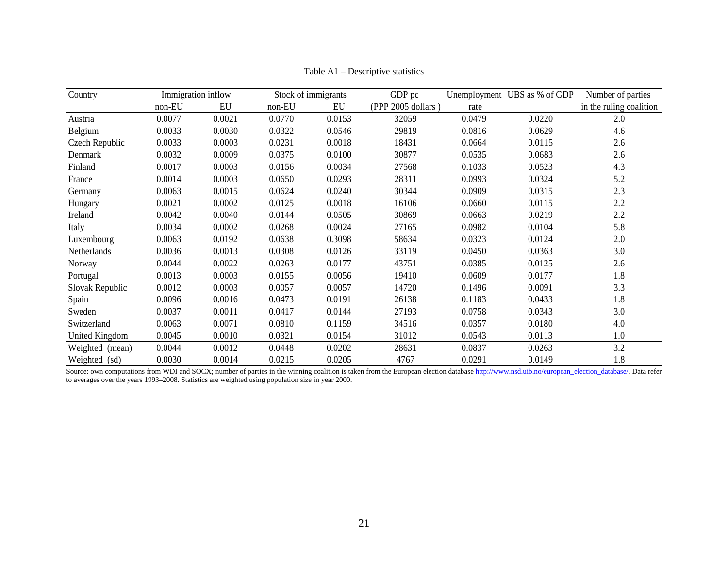| Country         |        | Immigration inflow |        | Stock of immigrants | GDP pc             |        | Unemployment UBS as % of GDP | Number of parties       |
|-----------------|--------|--------------------|--------|---------------------|--------------------|--------|------------------------------|-------------------------|
|                 | non-EU | EU                 | non-EU | EU                  | (PPP 2005 dollars) | rate   |                              | in the ruling coalition |
| Austria         | 0.0077 | 0.0021             | 0.0770 | 0.0153              | 32059              | 0.0479 | 0.0220                       | 2.0                     |
| Belgium         | 0.0033 | 0.0030             | 0.0322 | 0.0546              | 29819              | 0.0816 | 0.0629                       | 4.6                     |
| Czech Republic  | 0.0033 | 0.0003             | 0.0231 | 0.0018              | 18431              | 0.0664 | 0.0115                       | 2.6                     |
| Denmark         | 0.0032 | 0.0009             | 0.0375 | 0.0100              | 30877              | 0.0535 | 0.0683                       | 2.6                     |
| Finland         | 0.0017 | 0.0003             | 0.0156 | 0.0034              | 27568              | 0.1033 | 0.0523                       | 4.3                     |
| France          | 0.0014 | 0.0003             | 0.0650 | 0.0293              | 28311              | 0.0993 | 0.0324                       | 5.2                     |
| Germany         | 0.0063 | 0.0015             | 0.0624 | 0.0240              | 30344              | 0.0909 | 0.0315                       | 2.3                     |
| Hungary         | 0.0021 | 0.0002             | 0.0125 | 0.0018              | 16106              | 0.0660 | 0.0115                       | 2.2                     |
| Ireland         | 0.0042 | 0.0040             | 0.0144 | 0.0505              | 30869              | 0.0663 | 0.0219                       | 2.2                     |
| Italy           | 0.0034 | 0.0002             | 0.0268 | 0.0024              | 27165              | 0.0982 | 0.0104                       | 5.8                     |
| Luxembourg      | 0.0063 | 0.0192             | 0.0638 | 0.3098              | 58634              | 0.0323 | 0.0124                       | 2.0                     |
| Netherlands     | 0.0036 | 0.0013             | 0.0308 | 0.0126              | 33119              | 0.0450 | 0.0363                       | 3.0                     |
| Norway          | 0.0044 | 0.0022             | 0.0263 | 0.0177              | 43751              | 0.0385 | 0.0125                       | 2.6                     |
| Portugal        | 0.0013 | 0.0003             | 0.0155 | 0.0056              | 19410              | 0.0609 | 0.0177                       | 1.8                     |
| Slovak Republic | 0.0012 | 0.0003             | 0.0057 | 0.0057              | 14720              | 0.1496 | 0.0091                       | 3.3                     |
| Spain           | 0.0096 | 0.0016             | 0.0473 | 0.0191              | 26138              | 0.1183 | 0.0433                       | 1.8                     |
| Sweden          | 0.0037 | 0.0011             | 0.0417 | 0.0144              | 27193              | 0.0758 | 0.0343                       | 3.0                     |
| Switzerland     | 0.0063 | 0.0071             | 0.0810 | 0.1159              | 34516              | 0.0357 | 0.0180                       | 4.0                     |
| United Kingdom  | 0.0045 | 0.0010             | 0.0321 | 0.0154              | 31012              | 0.0543 | 0.0113                       | 1.0                     |
| Weighted (mean) | 0.0044 | 0.0012             | 0.0448 | 0.0202              | 28631              | 0.0837 | 0.0263                       | 3.2                     |
| Weighted (sd)   | 0.0030 | 0.0014             | 0.0215 | 0.0205              | 4767               | 0.0291 | 0.0149                       | 1.8                     |

Table A1 – Descriptive statistics

Source: own computations from WDI and SOCX; number of parties in the winning coalition is taken from the European election databas[e http://www.nsd.uib.no/european\\_election\\_database/.](http://www.nsd.uib.no/european_election_database/) Data refer to averages over the years 1993–2008. Statistics are weighted using population size in year 2000.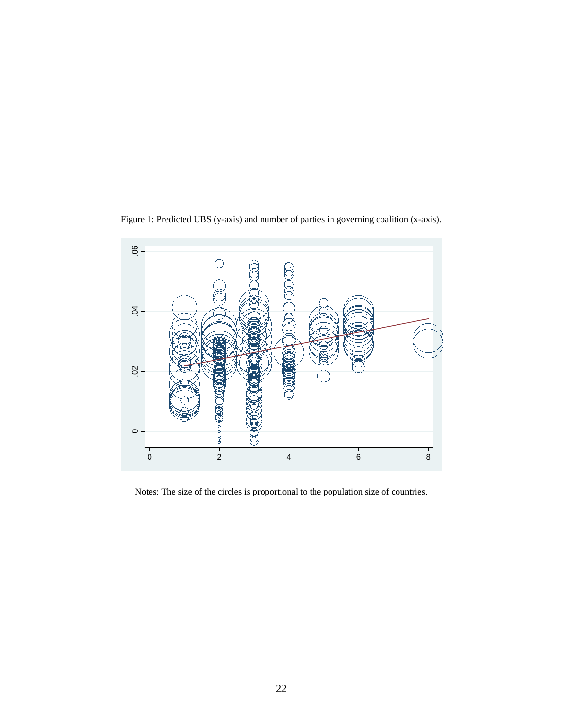Figure 1: Predicted UBS (y-axis) and number of parties in governing coalition (x-axis).



Notes: The size of the circles is proportional to the population size of countries.